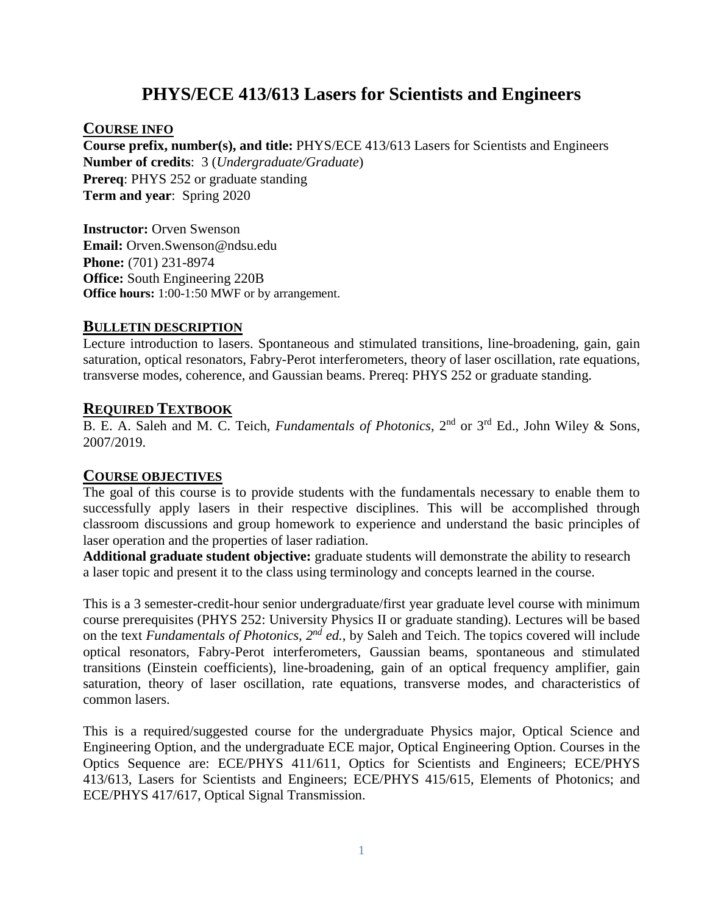# **PHYS/ECE 413/613 Lasers for Scientists and Engineers**

#### **COURSE INFO**

**Course prefix, number(s), and title:** PHYS/ECE 413/613 Lasers for Scientists and Engineers **Number of credits**: 3 (*Undergraduate/Graduate*) **Prereq**: PHYS 252 or graduate standing **Term and year**: Spring 2020

**Instructor:** Orven Swenson **Email:** Orven.Swenson@ndsu.edu **Phone:** (701) 231-8974 **Office:** South Engineering 220B **Office hours:** 1:00-1:50 MWF or by arrangement.

#### **BULLETIN DESCRIPTION**

Lecture introduction to lasers. Spontaneous and stimulated transitions, line-broadening, gain, gain saturation, optical resonators, Fabry-Perot interferometers, theory of laser oscillation, rate equations, transverse modes, coherence, and Gaussian beams. Prereq: PHYS 252 or graduate standing.

#### **REQUIRED TEXTBOOK**

B. E. A. Saleh and M. C. Teich, *Fundamentals of Photonics*, 2nd or 3rd Ed., John Wiley & Sons, 2007/2019.

#### **COURSE OBJECTIVES**

The goal of this course is to provide students with the fundamentals necessary to enable them to successfully apply lasers in their respective disciplines. This will be accomplished through classroom discussions and group homework to experience and understand the basic principles of laser operation and the properties of laser radiation.

**Additional graduate student objective:** graduate students will demonstrate the ability to research a laser topic and present it to the class using terminology and concepts learned in the course.

This is a 3 semester-credit-hour senior undergraduate/first year graduate level course with minimum course prerequisites (PHYS 252: University Physics II or graduate standing). Lectures will be based on the text *Fundamentals of Photonics, 2nd ed.*, by Saleh and Teich. The topics covered will include optical resonators, Fabry-Perot interferometers, Gaussian beams, spontaneous and stimulated transitions (Einstein coefficients), line-broadening, gain of an optical frequency amplifier, gain saturation, theory of laser oscillation, rate equations, transverse modes, and characteristics of common lasers.

This is a required/suggested course for the undergraduate Physics major, Optical Science and Engineering Option, and the undergraduate ECE major, Optical Engineering Option. Courses in the Optics Sequence are: ECE/PHYS 411/611, Optics for Scientists and Engineers; ECE/PHYS 413/613, Lasers for Scientists and Engineers; ECE/PHYS 415/615, Elements of Photonics; and ECE/PHYS 417/617, Optical Signal Transmission.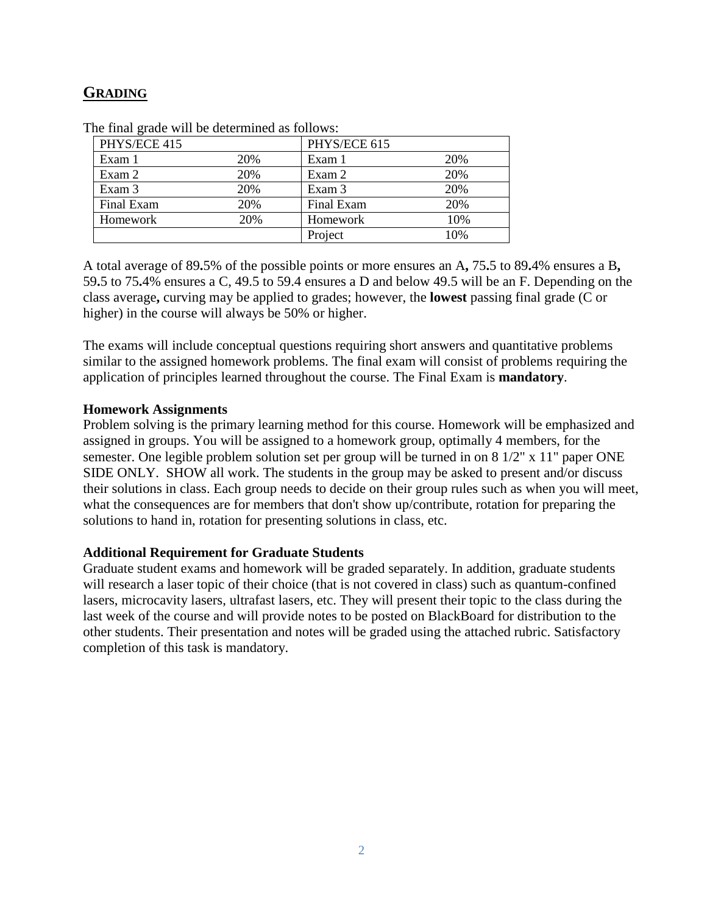### **GRADING**

| PHYS/ECE 415 |     | PHYS/ECE 615 |     |
|--------------|-----|--------------|-----|
| Exam 1       | 20% | Exam 1       | 20% |
| Exam 2       | 20% | Exam 2       | 20% |
| Exam 3       | 20% | Exam 3       | 20% |
| Final Exam   | 20% | Final Exam   | 20% |
| Homework     | 20% | Homework     | 10% |
|              |     | Project      | 10% |

The final grade will be determined as follows:

A total average of 89**.**5% of the possible points or more ensures an A**,** 75**.**5 to 89**.**4% ensures a B**,**  59**.**5 to 75**.**4% ensures a C, 49.5 to 59.4 ensures a D and below 49.5 will be an F. Depending on the class average**,** curving may be applied to grades; however, the **lowest** passing final grade (C or higher) in the course will always be 50% or higher.

The exams will include conceptual questions requiring short answers and quantitative problems similar to the assigned homework problems. The final exam will consist of problems requiring the application of principles learned throughout the course. The Final Exam is **mandatory**.

#### **Homework Assignments**

Problem solving is the primary learning method for this course. Homework will be emphasized and assigned in groups. You will be assigned to a homework group, optimally 4 members, for the semester. One legible problem solution set per group will be turned in on 8 1/2" x 11" paper ONE SIDE ONLY. SHOW all work. The students in the group may be asked to present and/or discuss their solutions in class. Each group needs to decide on their group rules such as when you will meet, what the consequences are for members that don't show up/contribute, rotation for preparing the solutions to hand in, rotation for presenting solutions in class, etc.

#### **Additional Requirement for Graduate Students**

Graduate student exams and homework will be graded separately. In addition, graduate students will research a laser topic of their choice (that is not covered in class) such as quantum-confined lasers, microcavity lasers, ultrafast lasers, etc. They will present their topic to the class during the last week of the course and will provide notes to be posted on BlackBoard for distribution to the other students. Their presentation and notes will be graded using the attached rubric. Satisfactory completion of this task is mandatory.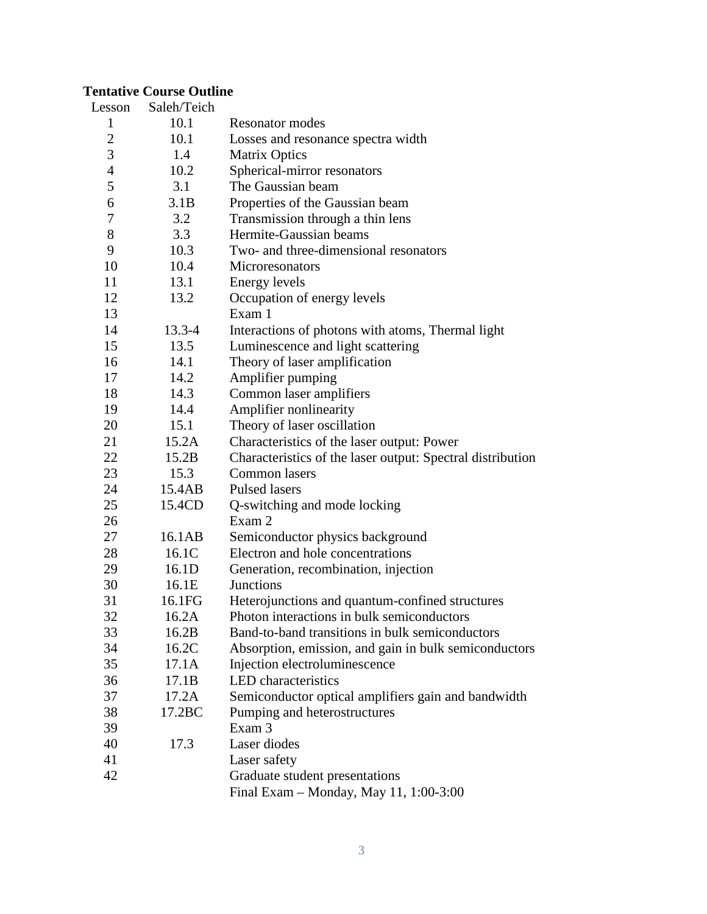### **Tentative Course Outline**

| Lesson         | Saleh/Teich |                                                            |
|----------------|-------------|------------------------------------------------------------|
| 1              | 10.1        | <b>Resonator modes</b>                                     |
| $\overline{c}$ | 10.1        | Losses and resonance spectra width                         |
| 3              | 1.4         | <b>Matrix Optics</b>                                       |
| $\overline{4}$ | 10.2        | Spherical-mirror resonators                                |
| 5              | 3.1         | The Gaussian beam                                          |
| 6              | 3.1B        | Properties of the Gaussian beam                            |
| 7              | 3.2         | Transmission through a thin lens                           |
| 8              | 3.3         | Hermite-Gaussian beams                                     |
| 9              | 10.3        | Two- and three-dimensional resonators                      |
| 10             | 10.4        | Microresonators                                            |
| 11             | 13.1        | <b>Energy levels</b>                                       |
| 12             | 13.2        | Occupation of energy levels                                |
| 13             |             | Exam 1                                                     |
| 14             | $13.3 - 4$  | Interactions of photons with atoms, Thermal light          |
| 15             | 13.5        | Luminescence and light scattering                          |
| 16             | 14.1        | Theory of laser amplification                              |
| 17             | 14.2        | Amplifier pumping                                          |
| 18             | 14.3        | Common laser amplifiers                                    |
| 19             | 14.4        | Amplifier nonlinearity                                     |
| 20             | 15.1        | Theory of laser oscillation                                |
| 21             | 15.2A       | Characteristics of the laser output: Power                 |
| 22             | 15.2B       | Characteristics of the laser output: Spectral distribution |
| 23             | 15.3        | Common lasers                                              |
| 24             | 15.4AB      | <b>Pulsed lasers</b>                                       |
| 25             | 15.4CD      | Q-switching and mode locking                               |
| 26             |             | Exam 2                                                     |
| 27             | 16.1AB      | Semiconductor physics background                           |
| 28             | 16.1C       | Electron and hole concentrations                           |
| 29             | 16.1D       | Generation, recombination, injection                       |
| 30             | 16.1E       | Junctions                                                  |
| 31             | 16.1FG      | Heterojunctions and quantum-confined structures            |
| 32             | 16.2A       | Photon interactions in bulk semiconductors                 |
| 33             | 16.2B       | Band-to-band transitions in bulk semiconductors            |
| 34             | 16.2C       | Absorption, emission, and gain in bulk semiconductors      |
| 35             | 17.1A       | Injection electroluminescence                              |
| 36             | 17.1B       | <b>LED</b> characteristics                                 |
| 37             | 17.2A       | Semiconductor optical amplifiers gain and bandwidth        |
| 38             | 17.2BC      | Pumping and heterostructures                               |
| 39             |             | Exam 3                                                     |
| 40             | 17.3        | Laser diodes                                               |
| 41             |             | Laser safety                                               |
| 42             |             | Graduate student presentations                             |
|                |             | Final Exam - Monday, May 11, 1:00-3:00                     |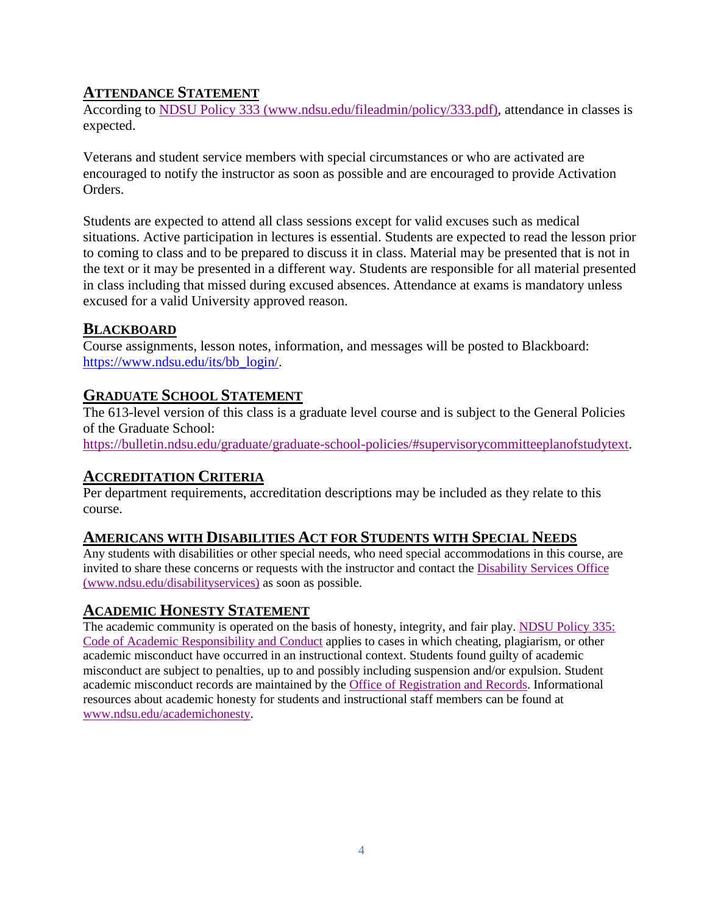### **ATTENDANCE STATEMENT**

According to [NDSU Policy 333 \(www.ndsu.edu/fileadmin/policy/333.pdf\),](http://www.ndsu.edu/fileadmin/policy/333.pdf) attendance in classes is expected.

Veterans and student service members with special circumstances or who are activated are encouraged to notify the instructor as soon as possible and are encouraged to provide Activation Orders.

Students are expected to attend all class sessions except for valid excuses such as medical situations. Active participation in lectures is essential. Students are expected to read the lesson prior to coming to class and to be prepared to discuss it in class. Material may be presented that is not in the text or it may be presented in a different way. Students are responsible for all material presented in class including that missed during excused absences. Attendance at exams is mandatory unless excused for a valid University approved reason.

### **BLACKBOARD**

Course assignments, lesson notes, information, and messages will be posted to Blackboard: [https://www.ndsu.edu/its/bb\\_login/.](https://www.ndsu.edu/its/bb_login/)

### **GRADUATE SCHOOL STATEMENT**

The 613-level version of this class is a graduate level course and is subject to the General Policies of the Graduate School:

[https://bulletin.ndsu.edu/graduate/graduate-school-policies/#supervisorycommitteeplanofstudytext.](https://bulletin.ndsu.edu/graduate/graduate-school-policies/#supervisorycommitteeplanofstudytext)

### **ACCREDITATION CRITERIA**

Per department requirements, accreditation descriptions may be included as they relate to this course.

### **AMERICANS WITH DISABILITIES ACT FOR STUDENTS WITH SPECIAL NEEDS**

Any students with disabilities or other special needs, who need special accommodations in this course, are invited to share these concerns or requests with the instructor and contact the [Disability Services Office](http://www.ndsu.edu/disabilityservices/)  [\(www.ndsu.edu/disabilityservices\)](http://www.ndsu.edu/disabilityservices/) as soon as possible.

### **ACADEMIC HONESTY STATEMENT**

The academic community is operated on the basis of honesty, integrity, and fair play. [NDSU Policy 335:](http://www.ndsu.edu/fileadmin/policy/335.pdf)  [Code of Academic Responsibility and Conduct](http://www.ndsu.edu/fileadmin/policy/335.pdf) applies to cases in which cheating, plagiarism, or other academic misconduct have occurred in an instructional context. Students found guilty of academic misconduct are subject to penalties, up to and possibly including suspension and/or expulsion. Student academic misconduct records are maintained by th[e Office of Registration and Records.](http://www.ndsu.edu/registrar/) Informational resources about academic honesty for students and instructional staff members can be found at [www.ndsu.edu/academichonesty.](http://www.ndsu.edu/academichonesty)